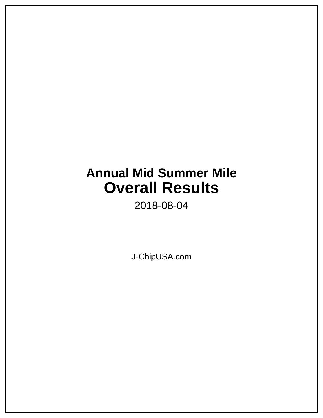# **Annual Mid Summer Mile Overall Results**

2018-08-04

J-ChipUSA.com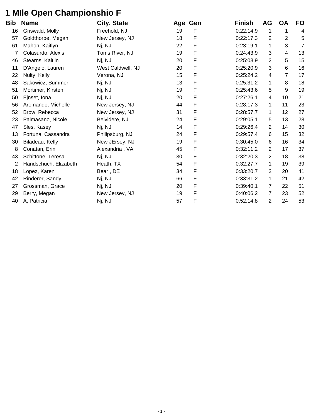### **1 MIle Open Championshio F**

| Bib | <b>Name</b>           | City, State       |    | Age Gen | <b>Finish</b> | AG             | <b>OA</b>      | <b>FO</b> |
|-----|-----------------------|-------------------|----|---------|---------------|----------------|----------------|-----------|
| 16  | Griswald, Molly       | Freehold, NJ      | 19 | F       | 0:22:14.9     | 1              |                | 4         |
| 57  | Goldthorpe, Megan     | New Jersey, NJ    | 18 | F       | 0:22:17.3     | 2              | $\overline{c}$ | 5         |
| 61  | Mahon, Kaitlyn        | Nj, NJ            | 22 | F       | 0:23:19.1     | 1              | 3              | 7         |
| 7   | Colasurdo, Alexis     | Toms River, NJ    | 19 | F       | 0:24:43.9     | 3              | 4              | 13        |
| 46  | Stearns, Kaitlin      | Nj, NJ            | 20 | F       | 0:25:03.9     | $\overline{2}$ | 5              | 15        |
| 11  | D'Angelo, Lauren      | West Caldwell, NJ | 20 | F       | 0:25:20.9     | 3              | 6              | 16        |
| 22  | Nulty, Kelly          | Verona, NJ        | 15 | F       | 0:25:24.2     | 4              | 7              | 17        |
| 48  | Sakowicz, Summer      | Nj, NJ            | 13 | F       | 0:25:31.2     | 1              | 8              | 18        |
| 51  | Mortimer, Kirsten     | Nj, NJ            | 19 | F       | 0:25:43.6     | 5              | 9              | 19        |
| 50  | Ejnset, Iona          | Nj, NJ            | 20 | F       | 0:27:26.1     | 4              | 10             | 21        |
| 56  | Aromando, Michelle    | New Jersey, NJ    | 44 | F       | 0:28:17.3     | $\mathbf 1$    | 11             | 23        |
| 52  | Brow, Rebecca         | New Jersey, NJ    | 31 | F       | 0:28:57.7     | 1              | 12             | 27        |
| 23  | Palmasano, Nicole     | Belvidere, NJ     | 24 | F       | 0:29:05.1     | 5              | 13             | 28        |
| 47  | Sles, Kasey           | Nj, NJ            | 14 | F       | 0:29:26.4     | 2              | 14             | 30        |
| 13  | Fortuna, Cassandra    | Philipsburg, NJ   | 24 | F       | 0:29:57.4     | 6              | 15             | 32        |
| 30  | Biladeau, Kelly       | New JErsey, NJ    | 19 | F       | 0:30:45.0     | 6              | 16             | 34        |
| 8   | Conatan, Erin         | Alexandria, VA    | 45 | F       | 0:32:11.2     | 2              | 17             | 37        |
| 43  | Schittone, Teresa     | Nj, NJ            | 30 | F       | 0:32:20.3     | $\overline{2}$ | 18             | 38        |
| 2   | Handschuch, Elizabeth | Heath, TX         | 54 | F       | 0:32:27.7     | 1              | 19             | 39        |
| 18  | Lopez, Karen          | Bear, DE          | 34 | F       | 0:33:20.7     | 3              | 20             | 41        |
| 42  | Rinderer, Sandy       | Nj, NJ            | 66 | F       | 0:33:31.2     | $\mathbf 1$    | 21             | 42        |
| 27  | Grossman, Grace       | Nj, NJ            | 20 | F       | 0:39:40.1     | 7              | 22             | 51        |
| 29  | Berry, Megan          | New Jersey, NJ    | 19 | F       | 0:40:06.2     | 7              | 23             | 52        |
| 40  | A, Patricia           | Nj, NJ            | 57 | F       | 0:52:14.8     | 2              | 24             | 53        |
|     |                       |                   |    |         |               |                |                |           |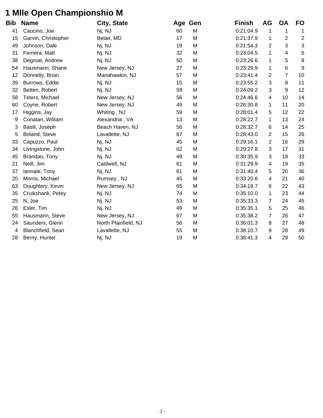## **1 MIle Open Championshio M**

| Bib | <b>Name</b>         | City, State          |    | Age Gen | <b>Finish</b> | <b>AG</b>      | <b>OA</b>      | FO               |
|-----|---------------------|----------------------|----|---------|---------------|----------------|----------------|------------------|
| 41  | Caucino, Joe        | Nj, NJ               | 60 | M       | 0:21:04.9     | 1              | 1              | 1                |
| 15  | Garvin, Christopher | Belair, MD           | 17 | M       | 0:21:37.9     | 1              | 2              | $\overline{2}$   |
| 49  | Johnson, Dale       | Nj, NJ               | 19 | M       | 0:21:54.3     | 2              | 3              | $\sqrt{3}$       |
| 31  | Ferriera, Matt      | Nj, NJ               | 32 | M       | 0:23:04.5     | 1              | 4              | $\,6$            |
| 38  | Degroat, Andrew     | Nj, NJ               | 50 | M       | 0:23:26.6     | 1              | 5              | $\, 8$           |
| 54  | Hausmann, Shane     | New Jersey, NJ       | 27 | M       | 0:23:29.9     | 1              | 6              | $\boldsymbol{9}$ |
| 12  | Donnelly, Brian     | Manahawkin, NJ       | 57 | M       | 0:23:41.4     | 2              | $\overline{7}$ | 10               |
| 39  | Burrows, Eddie      | Nj, NJ               | 15 | M       | 0:23:55.2     | 3              | 8              | 11               |
| 32  | Betten, Robert      | Nj, NJ               | 59 | M       | 0:24:09.2     | $\mathbf{3}$   | 9              | 12               |
| 58  | Teters, Michael     | New Jersey, NJ       | 56 | М       | 0:24:46.6     | 4              | 10             | 14               |
| 60  | Coyne, Robert       | New Jersey, NJ       | 49 | М       | 0:26:30.8     | $\mathbf 1$    | 11             | 20               |
| 17  | Higgins, Jay        | Whiting, NJ          | 59 | M       | 0:28:01.4     | 5              | 12             | 22               |
| 9   | Conatan, William    | Alexandria, VA       | 13 | M       | 0:28:22.7     | $\mathbf 1$    | 13             | 24               |
| 3   | Basili, Joseph      | Beach Haven, NJ      | 56 | M       | 0:28:32.7     | 6              | 14             | 25               |
| 5   | Boland, Steve       | Lavallette, NJ       | 67 | М       | 0:28:43.0     | 2              | 15             | 26               |
| 33  | Capuzzo, Paul       | Nj, NJ               | 45 | M       | 0:29:16.1     | $\overline{2}$ | 16             | 29               |
| 34  | Livingstone, John   | Nj, NJ               | 62 | M       | 0:29:27.8     | 3              | 17             | 31               |
| 45  | Brandao, Tony       | Nj, NJ               | 49 | M       | 0:30:35.9     | 3              | 18             | 33               |
| 21  | Neill, Jim          | Caldwell, NJ         | 61 | М       | 0:31:29.9     | 4              | 19             | 35               |
| 37  | lannale, Tony       | Nj, NJ               | 61 | M       | 0:31:40.4     | 5              | 20             | 36               |
| 20  | Morris, Michael     | Rumsey, NJ           | 45 | M       | 0:33:20.6     | 4              | 21             | 40               |
| 63  | Doughtery, Kevin    | New Jersey, NJ       | 65 | M       | 0:34:19.7     | 6              | 22             | 43               |
| 35  | Cruikshank, Petey   | Nj, NJ               | 74 | M       | 0:35:10.0     | $\mathbf 1$    | 23             | 44               |
| 25  | N, Joe              | Nj, NJ               | 53 | M       | 0:35:33.3     | $\overline{7}$ | 24             | 45               |
| 26  | Esler, Tim          | Nj, NJ               | 49 | M       | 0:35:35.1     | 5              | 25             | 46               |
| 55  | Hausmann, Steve     | New Jersey, NJ       | 67 | M       | 0:35:38.2     | 7              | 26             | 47               |
| 24  | Saunders, Glenn     | North Plainfield, NJ | 56 | M       | 0:36:01.3     | 8              | 27             | 48               |
| 4   | Blanchfield, Sean   | Lavallette, NJ       | 55 | M       | 0:38:10.7     | 9              | 28             | 49               |
| 28  | Berny, Hunter       | Nj, NJ               | 19 | M       | 0:38:41.3     | 4              | 29             | 50               |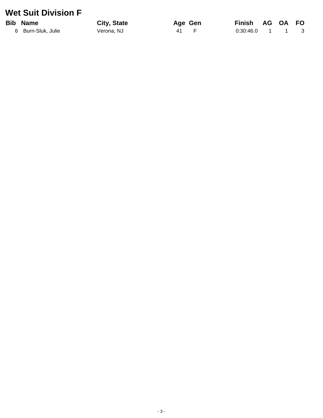#### **Wet Suit Division F**

#### **Bib Name**

6 Burn-Sluk, Julie

City, State Verona, NJ

Age Gen  $\mathsf F$  $\overline{41}$ 

**Finish** AG OA FO  $0:30:46.0$  $\mathbf{1}$  $\sim$  1  $\ensuremath{\mathsf{3}}$